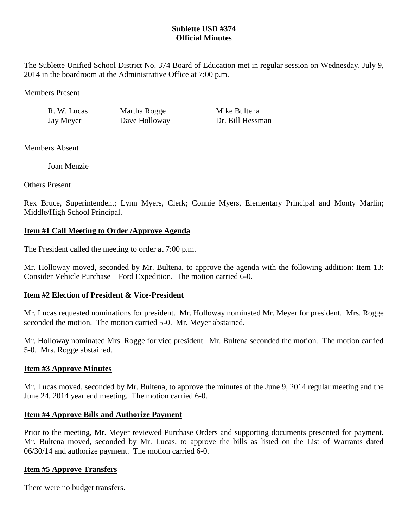# **Sublette USD #374 Official Minutes**

The Sublette Unified School District No. 374 Board of Education met in regular session on Wednesday, July 9, 2014 in the boardroom at the Administrative Office at 7:00 p.m.

Members Present

R. W. Lucas Martha Rogge Mike Bultena

Jay Meyer Dave Holloway Dr. Bill Hessman

Members Absent

Joan Menzie

Others Present

Rex Bruce, Superintendent; Lynn Myers, Clerk; Connie Myers, Elementary Principal and Monty Marlin; Middle/High School Principal.

# **Item #1 Call Meeting to Order /Approve Agenda**

The President called the meeting to order at 7:00 p.m.

Mr. Holloway moved, seconded by Mr. Bultena, to approve the agenda with the following addition: Item 13: Consider Vehicle Purchase – Ford Expedition. The motion carried 6-0.

# **Item #2 Election of President & Vice-President**

Mr. Lucas requested nominations for president. Mr. Holloway nominated Mr. Meyer for president. Mrs. Rogge seconded the motion. The motion carried 5-0. Mr. Meyer abstained.

Mr. Holloway nominated Mrs. Rogge for vice president. Mr. Bultena seconded the motion. The motion carried 5-0. Mrs. Rogge abstained.

## **Item #3 Approve Minutes**

Mr. Lucas moved, seconded by Mr. Bultena, to approve the minutes of the June 9, 2014 regular meeting and the June 24, 2014 year end meeting. The motion carried 6-0.

## **Item #4 Approve Bills and Authorize Payment**

Prior to the meeting, Mr. Meyer reviewed Purchase Orders and supporting documents presented for payment. Mr. Bultena moved, seconded by Mr. Lucas, to approve the bills as listed on the List of Warrants dated 06/30/14 and authorize payment. The motion carried 6-0.

## **Item #5 Approve Transfers**

There were no budget transfers.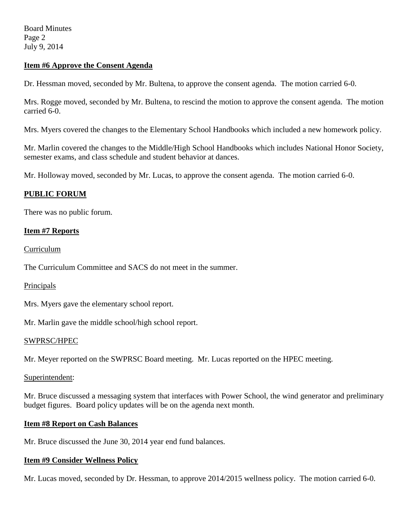Board Minutes Page 2 July 9, 2014

### **Item #6 Approve the Consent Agenda**

Dr. Hessman moved, seconded by Mr. Bultena, to approve the consent agenda. The motion carried 6-0.

Mrs. Rogge moved, seconded by Mr. Bultena, to rescind the motion to approve the consent agenda. The motion carried 6-0.

Mrs. Myers covered the changes to the Elementary School Handbooks which included a new homework policy.

Mr. Marlin covered the changes to the Middle/High School Handbooks which includes National Honor Society, semester exams, and class schedule and student behavior at dances.

Mr. Holloway moved, seconded by Mr. Lucas, to approve the consent agenda. The motion carried 6-0.

# **PUBLIC FORUM**

There was no public forum.

### **Item #7 Reports**

**Curriculum** 

The Curriculum Committee and SACS do not meet in the summer.

#### Principals

Mrs. Myers gave the elementary school report.

Mr. Marlin gave the middle school/high school report.

#### SWPRSC/HPEC

Mr. Meyer reported on the SWPRSC Board meeting. Mr. Lucas reported on the HPEC meeting.

#### Superintendent:

Mr. Bruce discussed a messaging system that interfaces with Power School, the wind generator and preliminary budget figures. Board policy updates will be on the agenda next month.

## **Item #8 Report on Cash Balances**

Mr. Bruce discussed the June 30, 2014 year end fund balances.

# **Item #9 Consider Wellness Policy**

Mr. Lucas moved, seconded by Dr. Hessman, to approve 2014/2015 wellness policy. The motion carried 6-0.